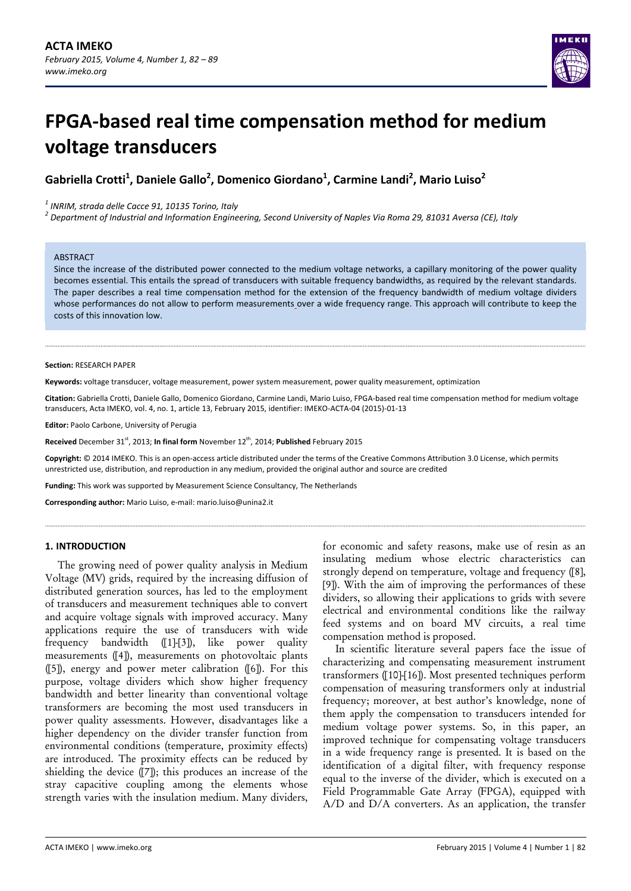

# **FPGA‐based real time compensation method for medium voltage transducers**

**Gabriella Crotti1 , Daniele Gallo<sup>2</sup> , Domenico Giordano<sup>1</sup> , Carmine Landi2 , Mario Luiso<sup>2</sup>**

<sup>1</sup> INRIM, strada delle Cacce 91, 10135 Torino, Italy<br><sup>2</sup> Department of Industrial and Information Engineering, Second University of Naples Via Roma 29, 81031 Aversa (CE), Italy

#### **ABSTRACT**

Since the increase of the distributed power connected to the medium voltage networks, a capillary monitoring of the power quality becomes essential. This entails the spread of transducers with suitable frequency bandwidths, as required by the relevant standards. The paper describes a real time compensation method for the extension of the frequency bandwidth of medium voltage dividers whose performances do not allow to perform measurements over a wide frequency range. This approach will contribute to keep the costs of this innovation low.

#### **Section:** RESEARCH PAPER

**Keywords:** voltage transducer, voltage measurement, power system measurement, power quality measurement, optimization

**Citation:** Gabriella Crotti, Daniele Gallo, Domenico Giordano, Carmine Landi, Mario Luiso, FPGA‐based real time compensation method for medium voltage transducers, Acta IMEKO, vol. 4, no. 1, article 13, February 2015, identifier: IMEKO‐ACTA‐04 (2015)‐01‐13

**Editor:** Paolo Carbone, University of Perugia

Received December 31<sup>st</sup>, 2013; In final form November 12<sup>th</sup>, 2014; Published February 2015

**Copyright:** © 2014 IMEKO. This is an open‐access article distributed under the terms of the Creative Commons Attribution 3.0 License, which permits unrestricted use, distribution, and reproduction in any medium, provided the original author and source are credited

**Funding:** This work was supported by Measurement Science Consultancy, The Netherlands

**Corresponding author:** Mario Luiso, e‐mail: mario.luiso@unina2.it

# **1. INTRODUCTION**

The growing need of power quality analysis in Medium Voltage (MV) grids, required by the increasing diffusion of distributed generation sources, has led to the employment of transducers and measurement techniques able to convert and acquire voltage signals with improved accuracy. Many applications require the use of transducers with wide frequency bandwidth ([1]-[3]), like power quality measurements ([4]), measurements on photovoltaic plants ([5]), energy and power meter calibration ([6]). For this purpose, voltage dividers which show higher frequency bandwidth and better linearity than conventional voltage transformers are becoming the most used transducers in power quality assessments. However, disadvantages like a higher dependency on the divider transfer function from environmental conditions (temperature, proximity effects) are introduced. The proximity effects can be reduced by shielding the device ([7]); this produces an increase of the stray capacitive coupling among the elements whose strength varies with the insulation medium. Many dividers,

for economic and safety reasons, make use of resin as an insulating medium whose electric characteristics can strongly depend on temperature, voltage and frequency ([8], [9]). With the aim of improving the performances of these dividers, so allowing their applications to grids with severe electrical and environmental conditions like the railway feed systems and on board MV circuits, a real time compensation method is proposed.

In scientific literature several papers face the issue of characterizing and compensating measurement instrument transformers ([10]-[16]). Most presented techniques perform compensation of measuring transformers only at industrial frequency; moreover, at best author's knowledge, none of them apply the compensation to transducers intended for medium voltage power systems. So, in this paper, an improved technique for compensating voltage transducers in a wide frequency range is presented. It is based on the identification of a digital filter, with frequency response equal to the inverse of the divider, which is executed on a Field Programmable Gate Array (FPGA), equipped with A/D and D/A converters. As an application, the transfer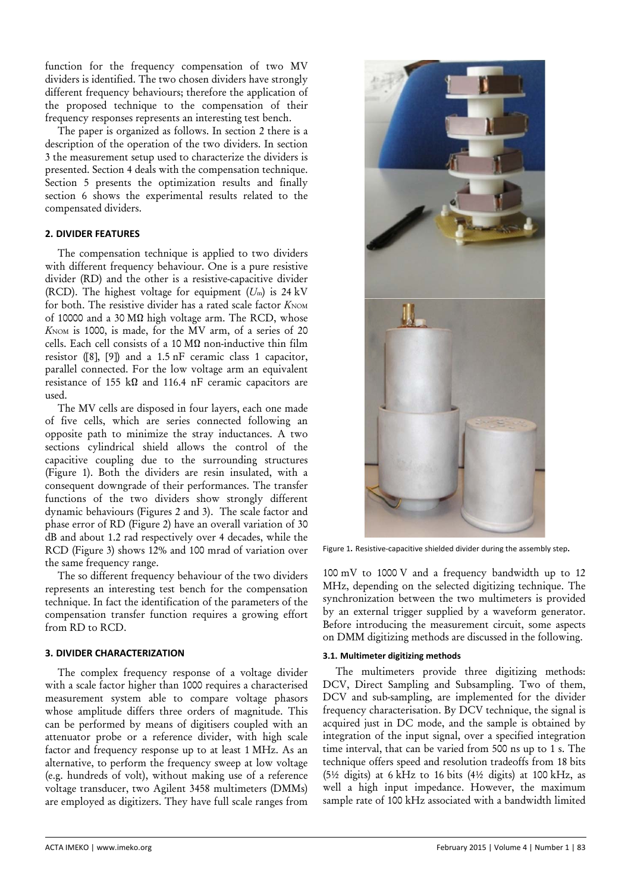function for the frequency compensation of two MV dividers is identified. The two chosen dividers have strongly different frequency behaviours; therefore the application of the proposed technique to the compensation of their frequency responses represents an interesting test bench.

The paper is organized as follows. In section 2 there is a description of the operation of the two dividers. In section 3 the measurement setup used to characterize the dividers is presented. Section 4 deals with the compensation technique. Section 5 presents the optimization results and finally section 6 shows the experimental results related to the compensated dividers.

# **2. DIVIDER FEATURES**

The compensation technique is applied to two dividers with different frequency behaviour. One is a pure resistive divider (RD) and the other is a resistive-capacitive divider (RCD). The highest voltage for equipment (*U*m) is 24 kV for both. The resistive divider has a rated scale factor  $K$ NOM of 10000 and a 30 MΩ high voltage arm. The RCD, whose  $K_{\text{NOM}}$  is 1000, is made, for the  $\overline{MV}$  arm, of a series of 20 cells. Each cell consists of a 10 MΩ non-inductive thin film resistor ([8], [9]) and a 1.5 nF ceramic class 1 capacitor, parallel connected. For the low voltage arm an equivalent resistance of 155 k $\Omega$  and 116.4 nF ceramic capacitors are used.

The MV cells are disposed in four layers, each one made of five cells, which are series connected following an opposite path to minimize the stray inductances. A two sections cylindrical shield allows the control of the capacitive coupling due to the surrounding structures (Figure 1). Both the dividers are resin insulated, with a consequent downgrade of their performances. The transfer functions of the two dividers show strongly different dynamic behaviours (Figures 2 and 3). The scale factor and phase error of RD (Figure 2) have an overall variation of 30 dB and about 1.2 rad respectively over 4 decades, while the RCD (Figure 3) shows 12% and 100 mrad of variation over the same frequency range.

The so different frequency behaviour of the two dividers represents an interesting test bench for the compensation technique. In fact the identification of the parameters of the compensation transfer function requires a growing effort from RD to RCD.

# **3. DIVIDER CHARACTERIZATION**

The complex frequency response of a voltage divider with a scale factor higher than 1000 requires a characterised measurement system able to compare voltage phasors whose amplitude differs three orders of magnitude. This can be performed by means of digitisers coupled with an attenuator probe or a reference divider, with high scale factor and frequency response up to at least 1 MHz. As an alternative, to perform the frequency sweep at low voltage (e.g. hundreds of volt), without making use of a reference voltage transducer, two Agilent 3458 multimeters (DMMs) are employed as digitizers. They have full scale ranges from



Figure 1**.** Resistive‐capacitive shielded divider during the assembly step**.**

100 mV to 1000 V and a frequency bandwidth up to 12 MHz, depending on the selected digitizing technique. The synchronization between the two multimeters is provided by an external trigger supplied by a waveform generator. Before introducing the measurement circuit, some aspects on DMM digitizing methods are discussed in the following.

# **3.1. Multimeter digitizing methods**

The multimeters provide three digitizing methods: DCV, Direct Sampling and Subsampling. Two of them, DCV and sub-sampling, are implemented for the divider frequency characterisation. By DCV technique, the signal is acquired just in DC mode, and the sample is obtained by integration of the input signal, over a specified integration time interval, that can be varied from 500 ns up to 1 s. The technique offers speed and resolution tradeoffs from 18 bits (5½ digits) at 6 kHz to 16 bits (4½ digits) at 100 kHz, as well a high input impedance. However, the maximum sample rate of 100 kHz associated with a bandwidth limited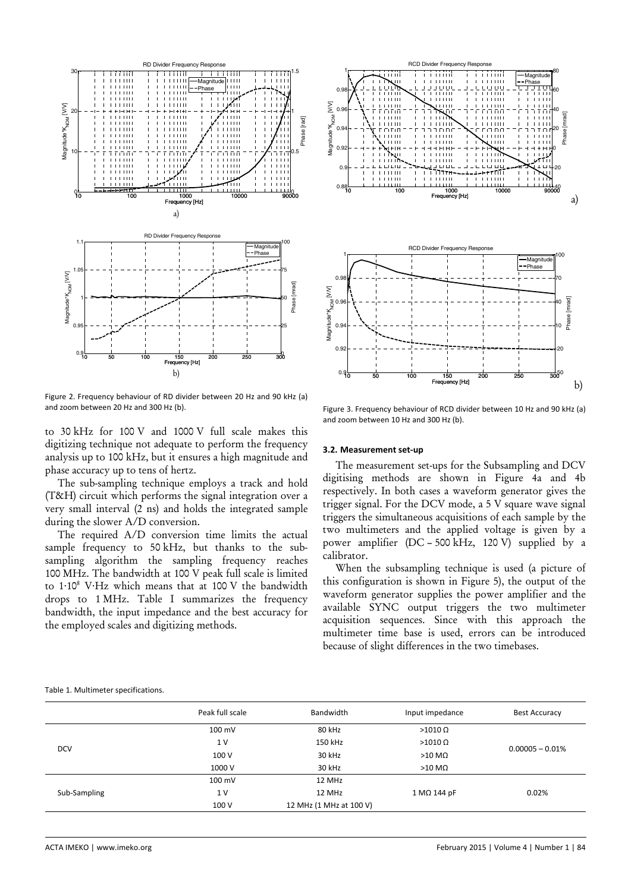

Figure 2. Frequency behaviour of RD divider between 20 Hz and 90 kHz (a) and zoom between 20 Hz and 300 Hz (b).

to 30 kHz for 100 V and 1000 V full scale makes this digitizing technique not adequate to perform the frequency analysis up to 100 kHz, but it ensures a high magnitude and phase accuracy up to tens of hertz.

The sub-sampling technique employs a track and hold (T&H) circuit which performs the signal integration over a very small interval (2 ns) and holds the integrated sample during the slower A/D conversion.

The required A/D conversion time limits the actual sample frequency to 50 kHz, but thanks to the subsampling algorithm the sampling frequency reaches 100 MHz. The bandwidth at 100 V peak full scale is limited to 1∙108 V∙Hz which means that at 100 V the bandwidth drops to 1 MHz. Table I summarizes the frequency bandwidth, the input impedance and the best accuracy for the employed scales and digitizing methods.



Figure 3. Frequency behaviour of RCD divider between 10 Hz and 90 kHz (a) and zoom between 10 Hz and 300 Hz (b).

#### **3.2. Measurement set‐up**

The measurement set-ups for the Subsampling and DCV digitising methods are shown in Figure 4a and 4b respectively. In both cases a waveform generator gives the trigger signal. For the DCV mode, a 5 V square wave signal triggers the simultaneous acquisitions of each sample by the two multimeters and the applied voltage is given by a power amplifier (DC – 500 kHz, 120 V) supplied by a calibrator.

When the subsampling technique is used (a picture of this configuration is shown in Figure 5), the output of the waveform generator supplies the power amplifier and the available SYNC output triggers the two multimeter acquisition sequences. Since with this approach the multimeter time base is used, errors can be introduced because of slight differences in the two timebases.

#### Table 1. Multimeter specifications.

|              | Peak full scale | Bandwidth                 | Input impedance    | <b>Best Accuracy</b> |  |
|--------------|-----------------|---------------------------|--------------------|----------------------|--|
|              | 100 mV          | 80 kHz                    | $>1010 \Omega$     |                      |  |
| <b>DCV</b>   | 1 <sub>V</sub>  | 150 kHz<br>$>1010 \Omega$ |                    | $0.00005 - 0.01\%$   |  |
|              | 100 V           | 30 kHz                    | $>10$ M $\Omega$   |                      |  |
|              | 1000 V          | 30 kHz                    | $>10$ M $\Omega$   |                      |  |
| Sub-Sampling | 100 mV          | 12 MHz                    |                    |                      |  |
|              | 1 <sub>V</sub>  | 12 MHz                    | $1 M\Omega$ 144 pF | 0.02%                |  |
|              | 100 V           | 12 MHz (1 MHz at 100 V)   |                    |                      |  |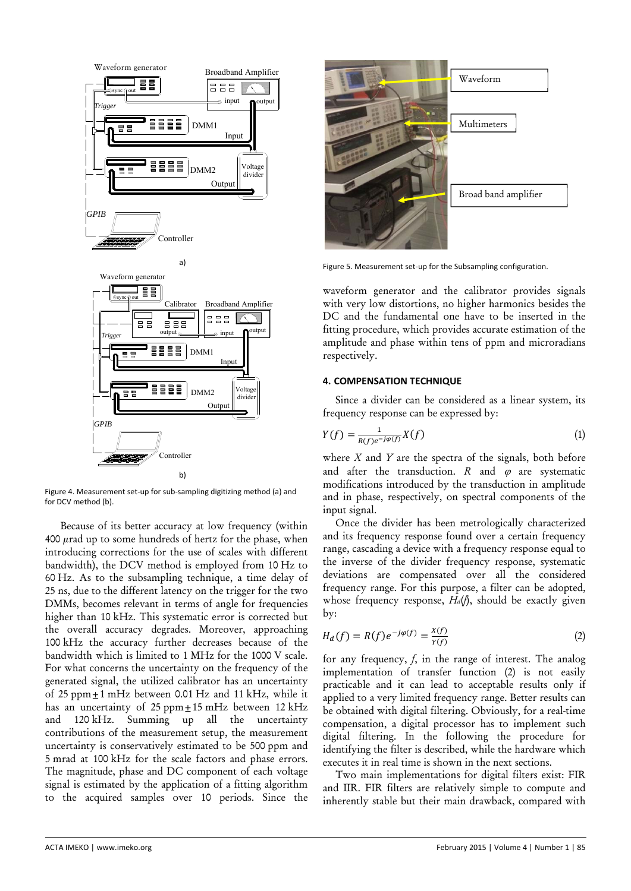

Figure 4. Measurement set‐up for sub‐sampling digitizing method (a) and for DCV method (b).

 Because of its better accuracy at low frequency (within 400  $\mu$ rad up to some hundreds of hertz for the phase, when introducing corrections for the use of scales with different bandwidth), the DCV method is employed from 10 Hz to 60 Hz. As to the subsampling technique, a time delay of 25 ns, due to the different latency on the trigger for the two DMMs, becomes relevant in terms of angle for frequencies higher than 10 kHz. This systematic error is corrected but the overall accuracy degrades. Moreover, approaching 100 kHz the accuracy further decreases because of the bandwidth which is limited to 1 MHz for the 1000 V scale. For what concerns the uncertainty on the frequency of the generated signal, the utilized calibrator has an uncertainty of 25 ppm $\pm$ 1 mHz between 0.01 Hz and 11 kHz, while it has an uncertainty of  $25$  ppm $\pm 15$  mHz between  $12$  kHz and 120 kHz. Summing up all the uncertainty contributions of the measurement setup, the measurement uncertainty is conservatively estimated to be 500 ppm and 5 mrad at 100 kHz for the scale factors and phase errors. The magnitude, phase and DC component of each voltage signal is estimated by the application of a fitting algorithm to the acquired samples over 10 periods. Since the



Figure 5. Measurement set-up for the Subsampling configuration.

waveform generator and the calibrator provides signals with very low distortions, no higher harmonics besides the DC and the fundamental one have to be inserted in the fitting procedure, which provides accurate estimation of the amplitude and phase within tens of ppm and microradians respectively.

# **4. COMPENSATION TECHNIQUE**

Since a divider can be considered as a linear system, its frequency response can be expressed by:

$$
Y(f) = \frac{1}{R(f)e^{-j\varphi(f)}}X(f)
$$
\n(1)

where *X* and *Y* are the spectra of the signals, both before and after the transduction.  $R$  and  $\varphi$  are systematic modifications introduced by the transduction in amplitude and in phase, respectively, on spectral components of the input signal.

Once the divider has been metrologically characterized and its frequency response found over a certain frequency range, cascading a device with a frequency response equal to the inverse of the divider frequency response, systematic deviations are compensated over all the considered frequency range. For this purpose, a filter can be adopted, whose frequency response, *Hd*(*f*), should be exactly given by:

$$
H_d(f) = R(f)e^{-j\varphi(f)} = \frac{x(f)}{Y(f)}
$$
 (2)

for any frequency, *f*, in the range of interest. The analog implementation of transfer function (2) is not easily practicable and it can lead to acceptable results only if applied to a very limited frequency range. Better results can be obtained with digital filtering. Obviously, for a real-time compensation, a digital processor has to implement such digital filtering. In the following the procedure for identifying the filter is described, while the hardware which executes it in real time is shown in the next sections.

Two main implementations for digital filters exist: FIR and IIR. FIR filters are relatively simple to compute and inherently stable but their main drawback, compared with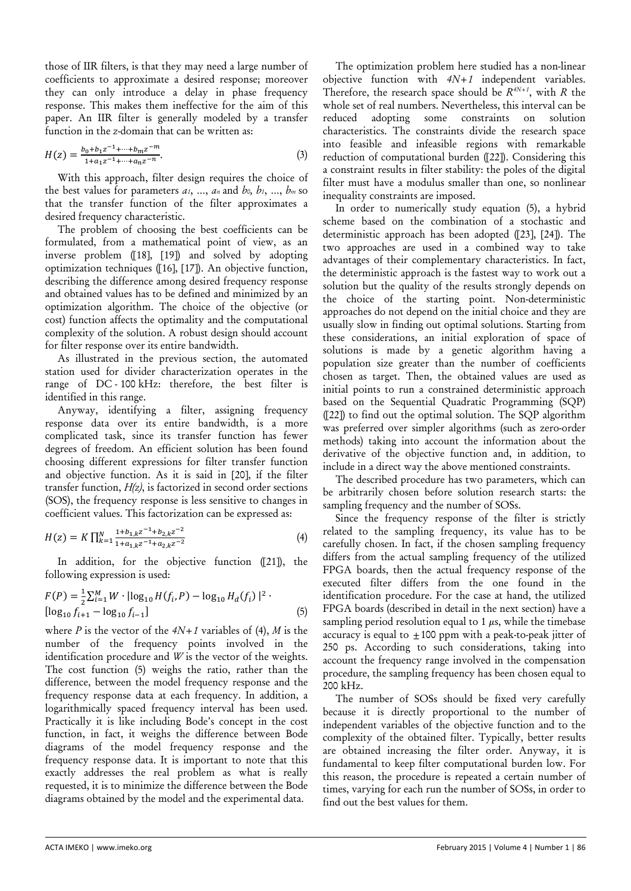those of IIR filters, is that they may need a large number of coefficients to approximate a desired response; moreover they can only introduce a delay in phase frequency response. This makes them ineffective for the aim of this paper. An IIR filter is generally modeled by a transfer function in the *z*-domain that can be written as:

$$
H(z) = \frac{b_0 + b_1 z^{-1} + \dots + b_m z^{-m}}{1 + a_1 z^{-1} + \dots + a_n z^{-n}}.
$$
\n(3)

With this approach, filter design requires the choice of the best values for parameters *a1*, …, *an* and *b0, b1*, …, *bm* so that the transfer function of the filter approximates a desired frequency characteristic.

The problem of choosing the best coefficients can be formulated, from a mathematical point of view, as an inverse problem ([18], [19]) and solved by adopting optimization techniques ([16], [17]). An objective function, describing the difference among desired frequency response and obtained values has to be defined and minimized by an optimization algorithm. The choice of the objective (or cost) function affects the optimality and the computational complexity of the solution. A robust design should account for filter response over its entire bandwidth.

As illustrated in the previous section, the automated station used for divider characterization operates in the range of DC - 100 kHz: therefore, the best filter is identified in this range.

Anyway, identifying a filter, assigning frequency response data over its entire bandwidth, is a more complicated task, since its transfer function has fewer degrees of freedom. An efficient solution has been found choosing different expressions for filter transfer function and objective function. As it is said in [20], if the filter transfer function, *H(z)*, is factorized in second order sections (SOS), the frequency response is less sensitive to changes in coefficient values. This factorization can be expressed as:

$$
H(z) = K \prod_{k=1}^{N} \frac{1 + b_{1,k}z^{-1} + b_{2,k}z^{-2}}{1 + a_{1,k}z^{-1} + a_{2,k}z^{-2}}
$$
(4)

In addition, for the objective function ([21]), the following expression is used:

$$
F(P) = \frac{1}{2} \sum_{i=1}^{M} W \cdot |\log_{10} H(f_i, P) - \log_{10} H_d(f_i)|^2
$$
  
[log<sub>10</sub> f<sub>i+1</sub> - log<sub>10</sub> f<sub>i-1</sub>] (5)

where *P* is the vector of the *4N+1* variables of (4), *M* is the number of the frequency points involved in the identification procedure and *W* is the vector of the weights. The cost function (5) weighs the ratio, rather than the difference, between the model frequency response and the frequency response data at each frequency. In addition, a logarithmically spaced frequency interval has been used. Practically it is like including Bode's concept in the cost function, in fact, it weighs the difference between Bode diagrams of the model frequency response and the frequency response data. It is important to note that this exactly addresses the real problem as what is really requested, it is to minimize the difference between the Bode diagrams obtained by the model and the experimental data.

The optimization problem here studied has a non-linear objective function with *4N+1* independent variables. Therefore, the research space should be  $R^{4N+1}$ , with *R* the whole set of real numbers. Nevertheless, this interval can be reduced adopting some constraints on solution characteristics. The constraints divide the research space into feasible and infeasible regions with remarkable reduction of computational burden ([22]). Considering this a constraint results in filter stability: the poles of the digital filter must have a modulus smaller than one, so nonlinear inequality constraints are imposed.

In order to numerically study equation (5), a hybrid scheme based on the combination of a stochastic and deterministic approach has been adopted ([23], [24]). The two approaches are used in a combined way to take advantages of their complementary characteristics. In fact, the deterministic approach is the fastest way to work out a solution but the quality of the results strongly depends on the choice of the starting point. Non-deterministic approaches do not depend on the initial choice and they are usually slow in finding out optimal solutions. Starting from these considerations, an initial exploration of space of solutions is made by a genetic algorithm having a population size greater than the number of coefficients chosen as target. Then, the obtained values are used as initial points to run a constrained deterministic approach based on the Sequential Quadratic Programming (SQP) ([22]) to find out the optimal solution. The SQP algorithm was preferred over simpler algorithms (such as zero-order methods) taking into account the information about the derivative of the objective function and, in addition, to include in a direct way the above mentioned constraints.

The described procedure has two parameters, which can be arbitrarily chosen before solution research starts: the sampling frequency and the number of SOSs.

Since the frequency response of the filter is strictly related to the sampling frequency, its value has to be carefully chosen. In fact, if the chosen sampling frequency differs from the actual sampling frequency of the utilized FPGA boards, then the actual frequency response of the executed filter differs from the one found in the identification procedure. For the case at hand, the utilized FPGA boards (described in detail in the next section) have a sampling period resolution equal to  $1 \mu s$ , while the timebase accuracy is equal to  $\pm 100$  ppm with a peak-to-peak jitter of 250 ps. According to such considerations, taking into account the frequency range involved in the compensation procedure, the sampling frequency has been chosen equal to 200 kHz.

The number of SOSs should be fixed very carefully because it is directly proportional to the number of independent variables of the objective function and to the complexity of the obtained filter. Typically, better results are obtained increasing the filter order. Anyway, it is fundamental to keep filter computational burden low. For this reason, the procedure is repeated a certain number of times, varying for each run the number of SOSs, in order to find out the best values for them.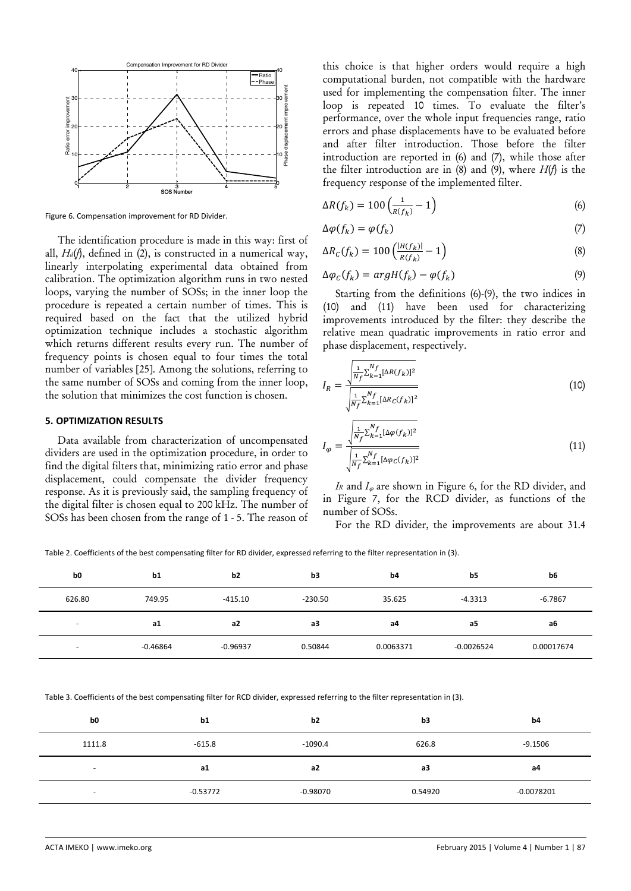

Figure 6. Compensation improvement for RD Divider.

The identification procedure is made in this way: first of all, *Hd*(*f*), defined in (2), is constructed in a numerical way, linearly interpolating experimental data obtained from calibration. The optimization algorithm runs in two nested loops, varying the number of SOSs; in the inner loop the procedure is repeated a certain number of times. This is required based on the fact that the utilized hybrid optimization technique includes a stochastic algorithm which returns different results every run. The number of frequency points is chosen equal to four times the total number of variables [25]. Among the solutions, referring to the same number of SOSs and coming from the inner loop, the solution that minimizes the cost function is chosen.

## **5. OPTIMIZATION RESULTS**

Data available from characterization of uncompensated dividers are used in the optimization procedure, in order to find the digital filters that, minimizing ratio error and phase displacement, could compensate the divider frequency response. As it is previously said, the sampling frequency of the digital filter is chosen equal to 200 kHz. The number of SOSs has been chosen from the range of 1 - 5. The reason of this choice is that higher orders would require a high computational burden, not compatible with the hardware used for implementing the compensation filter. The inner loop is repeated 10 times. To evaluate the filter's performance, over the whole input frequencies range, ratio errors and phase displacements have to be evaluated before and after filter introduction. Those before the filter introduction are reported in (6) and (7), while those after the filter introduction are in (8) and (9), where  $H(f)$  is the frequency response of the implemented filter.

$$
\Delta R(f_k) = 100 \left( \frac{1}{R(f_k)} - 1 \right) \tag{6}
$$

$$
\Delta \varphi(f_k) = \varphi(f_k) \tag{7}
$$

$$
\Delta R_C(f_k) = 100 \left( \frac{|H(f_k)|}{R(f_k)} - 1 \right) \tag{8}
$$

$$
\Delta \varphi_C(f_k) = argH(f_k) - \varphi(f_k) \tag{9}
$$

Starting from the definitions (6)-(9), the two indices in (10) and (11) have been used for characterizing improvements introduced by the filter: they describe the relative mean quadratic improvements in ratio error and phase displacement, respectively.

$$
I_R = \frac{\sqrt{\frac{1}{N_f} \sum_{k=1}^{N_f} [\Delta R(f_k)]^2}}{\sqrt{\frac{1}{N_f} \sum_{k=1}^{N_f} [\Delta R_C(f_k)]^2}}
$$
(10)

$$
I_{\varphi} = \frac{\sqrt{\frac{1}{N_f} \sum_{k=1}^{N_f} [\Delta \varphi(f_k)]^2}}{\sqrt{\frac{1}{N_f} \sum_{k=1}^{N_f} [\Delta \varphi_C(f_k)]^2}}
$$
(11)

*IR* and  $I_{\varphi}$  are shown in Figure 6, for the RD divider, and in Figure 7, for the RCD divider, as functions of the number of SOSs.

For the RD divider, the improvements are about 31.4

Table 2. Coefficients of the best compensating filter for RD divider, expressed referring to the filter representation in (3).

| b <sub>0</sub>           | b1         | b <sub>2</sub> | b3        | b <sub>4</sub> | b <sub>5</sub> | b6         |
|--------------------------|------------|----------------|-----------|----------------|----------------|------------|
| 626.80                   | 749.95     | -415.10        | $-230.50$ | 35.625         | $-4.3313$      | $-6.7867$  |
| $\overline{\phantom{0}}$ | <b>a1</b>  | a2             | аЗ        | а4             | a5             | a6         |
| $\overline{\phantom{0}}$ | $-0.46864$ | $-0.96937$     | 0.50844   | 0.0063371      | $-0.0026524$   | 0.00017674 |

Table 3. Coefficients of the best compensating filter for RCD divider, expressed referring to the filter representation in (3).

| b <sub>0</sub> | b1         | b2         | b3      | b4           |
|----------------|------------|------------|---------|--------------|
| 1111.8         | $-615.8$   | $-1090.4$  | 626.8   | $-9.1506$    |
| $\sim$         | a1         | a2         | аЗ      | a4           |
| $\sim$         | $-0.53772$ | $-0.98070$ | 0.54920 | $-0.0078201$ |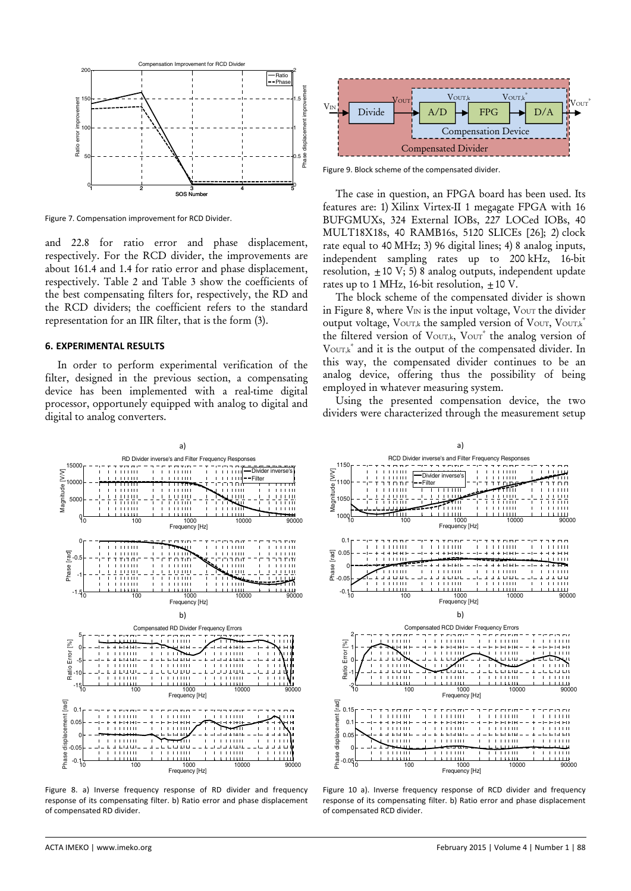

Figure 7. Compensation improvement for RCD Divider.

and 22.8 for ratio error and phase displacement, respectively. For the RCD divider, the improvements are about 161.4 and 1.4 for ratio error and phase displacement, respectively. Table 2 and Table 3 show the coefficients of the best compensating filters for, respectively, the RD and the RCD dividers; the coefficient refers to the standard representation for an IIR filter, that is the form (3).

## **6. EXPERIMENTAL RESULTS**

In order to perform experimental verification of the filter, designed in the previous section, a compensating device has been implemented with a real-time digital processor, opportunely equipped with analog to digital and digital to analog converters.



Figure 9. Block scheme of the compensated divider.

The case in question, an FPGA board has been used. Its features are: 1) Xilinx Virtex-II 1 megagate FPGA with 16 BUFGMUXs, 324 External IOBs, 227 LOCed IOBs, 40 MULT18X18s, 40 RAMB16s, 5120 SLICEs [26]; 2) clock rate equal to 40 MHz; 3) 96 digital lines; 4) 8 analog inputs, independent sampling rates up to 200 kHz, 16-bit resolution,  $\pm 10 \text{ V}$ ; 5) 8 analog outputs, independent update rates up to 1 MHz, 16-bit resolution,  $+10$  V.

The block scheme of the compensated divider is shown in Figure 8, where  $V_{IN}$  is the input voltage,  $V_{OUT}$  the divider output voltage,  $V_{\text{OUT},k}$  the sampled version of  $V_{\text{OUT}, V_{\text{OUT},k}}$ \* the filtered version of VOUT,k, VOUT<sup>\*</sup> the analog version of VOUT,k<sup>\*</sup> and it is the output of the compensated divider. In this way, the compensated divider continues to be an analog device, offering thus the possibility of being employed in whatever measuring system.

Using the presented compensation device, the two dividers were characterized through the measurement setup



Figure 8. a) Inverse frequency response of RD divider and frequency response of its compensating filter. b) Ratio error and phase displacement of compensated RD divider.



Figure 10 a). Inverse frequency response of RCD divider and frequency response of its compensating filter. b) Ratio error and phase displacement of compensated RCD divider.